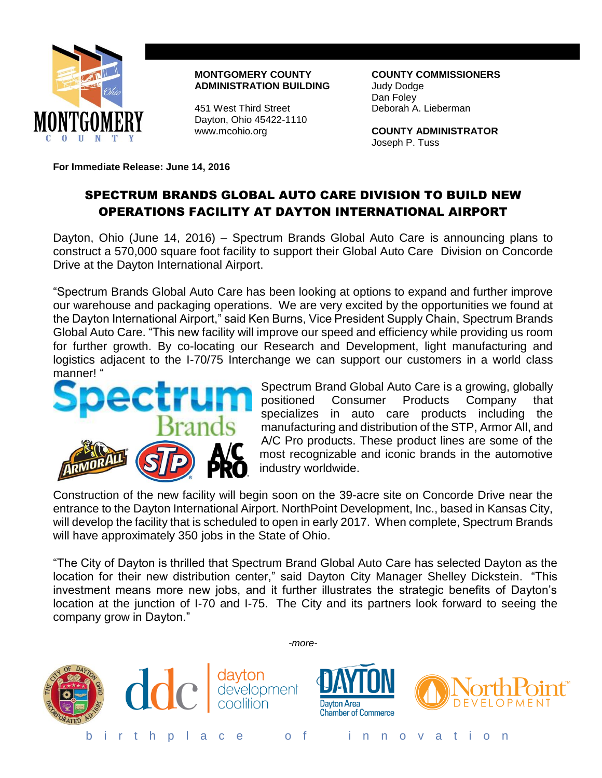

**MONTGOMERY COUNTY COUNTY COMMISSIONERS ADMINISTRATION BUILDING** Judy Dodge

451 West Third Street Deborah A. Lieberman Dayton, Ohio 45422-1110

Dan Foley

www.mcohio.org **COUNTY ADMINISTRATOR** Joseph P. Tuss

**For Immediate Release: June 14, 2016**

## SPECTRUM BRANDS GLOBAL AUTO CARE DIVISION TO BUILD NEW OPERATIONS FACILITY AT DAYTON INTERNATIONAL AIRPORT

Dayton, Ohio (June 14, 2016) – Spectrum Brands Global Auto Care is announcing plans to construct a 570,000 square foot facility to support their Global Auto Care Division on Concorde Drive at the Dayton International Airport.

"Spectrum Brands Global Auto Care has been looking at options to expand and further improve our warehouse and packaging operations. We are very excited by the opportunities we found at the Dayton International Airport," said Ken Burns, Vice President Supply Chain, Spectrum Brands Global Auto Care. "This new facility will improve our speed and efficiency while providing us room for further growth. By co-locating our Research and Development, light manufacturing and logistics adjacent to the I-70/75 Interchange we can support our customers in a world class manner! "



Spectrum Brand Global Auto Care is a growing, globally positioned Consumer Products Company that specializes in auto care products including the manufacturing and distribution of the STP, Armor All, and A/C Pro products. These product lines are some of the most recognizable and iconic brands in the automotive industry worldwide.

Construction of the new facility will begin soon on the 39-acre site on Concorde Drive near the entrance to the Dayton International Airport. NorthPoint Development, Inc., based in Kansas City, will develop the facility that is scheduled to open in early 2017. When complete, Spectrum Brands will have approximately 350 jobs in the State of Ohio.

"The City of Dayton is thrilled that Spectrum Brand Global Auto Care has selected Dayton as the location for their new distribution center," said Dayton City Manager Shelley Dickstein. "This investment means more new jobs, and it further illustrates the strategic benefits of Dayton's location at the junction of I-70 and I-75. The City and its partners look forward to seeing the company grow in Dayton."